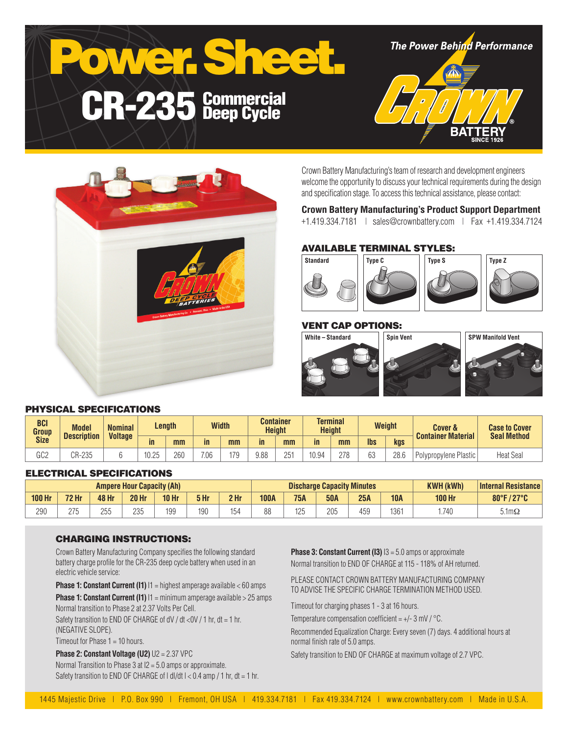



Crown Battery Manufacturing's team of research and development engineers welcome the opportunity to discuss your technical requirements during the design and specification stage. To access this technical assistance, please contact:

## **Crown Battery Manufacturing's Product Support Department**

+1.419.334.7181 | sales@crownbattery.com | Fax +1.419.334.7124

# AVAILABLE TERMINAL STYLES:



# VENT CAP OPTIONS:



## PHYSICAL SPECIFICATIONS

| <b>BCI</b><br>Group<br><b>Size</b> | <b>Model</b><br><b>Description</b> | <b>Nominal</b><br><b>Voltage</b> | Length              |     | <b>Width</b> |     |               | <b>Container</b><br><b>Terminal</b><br><b>Height</b><br><b>Height</b> |       |     | <b>Weight</b> |      | <b>Cover &amp;</b><br><b>Container Material</b> | <b>Case to Cover</b><br><b>Seal Method</b> |
|------------------------------------|------------------------------------|----------------------------------|---------------------|-----|--------------|-----|---------------|-----------------------------------------------------------------------|-------|-----|---------------|------|-------------------------------------------------|--------------------------------------------|
|                                    |                                    |                                  | in                  | mm  | in           | mm  | $\mathsf{in}$ | mm                                                                    | in    | mm  | <b>lbs</b>    | kgs  |                                                 |                                            |
| 000<br>ს∪∠                         | CR-235                             |                                  | ADAT<br>-ا (<br>いこい | 260 | 7.06         | 170 | 9.88          | 251                                                                   | 10.94 | 278 | c٥<br>ეკ      | 28.6 | Polypropylene Plastic                           | <b>Heat Seal</b>                           |

## ELECTRICAL SPECIFICATIONS

| <b>Ampere Hour Capacity (Ah)</b> |                    |           |              |            |      | <b>Discharge Capacity Minutes</b> |             |            |            |     | <b>KWH (kWh)</b> | <b>Internal Resistance</b> |                      |
|----------------------------------|--------------------|-----------|--------------|------------|------|-----------------------------------|-------------|------------|------------|-----|------------------|----------------------------|----------------------|
| <b>100 Hr</b>                    | <b>72 Hr</b>       | 48 Hr     | <b>20 Hr</b> | $10$ Hr    | 5 Hr | 2 <sub>hr</sub>                   | <b>100A</b> | <b>75A</b> | <b>50A</b> | 25A | <b>10A</b>       | <b>100 Hr</b>              | 80°F/27°C            |
| 290                              | <b>275</b><br>ں اے | つらら<br>ےں | 235          | 10C<br>ں ل | 190  | 154                               | n n<br>oo   | 125        | 205        | 459 | 1361             | 1.740                      | $5.1 \text{m}\Omega$ |

#### CHARGING INSTRUCTIONS:

Crown Battery Manufacturing Company specifies the following standard battery charge profile for the CR-235 deep cycle battery when used in an electric vehicle service:

**Phase 1: Constant Current (I1)**  $11$  = highest amperage available < 60 amps

**Phase 1: Constant Current (I1)**  $11 = \text{minimum}$  amperage available > 25 amps Normal transition to Phase 2 at 2.37 Volts Per Cell.

Safety transition to END OF CHARGE of dV / dt <0V / 1 hr, dt = 1 hr, (NEGATIVE SLOPE).

Timeout for Phase 1 = 10 hours.

**Phase 2: Constant Voltage (U2)** U2 = 2.37 VPC Normal Transition to Phase 3 at I2 = 5.0 amps or approximate. Safety transition to END OF CHARGE of  $| d|/dt$   $| < 0.4$  amp  $/ 1$  hr,  $dt = 1$  hr. **Phase 3: Constant Current (I3)**  $13 = 5.0$  amps or approximate Normal transition to END OF CHARGE at 115 - 118% of AH returned.

PLEASE CONTACT CROWN BATTERY MANUFACTURING COMPANY TO ADVISE THE SPECIFIC CHARGE TERMINATION METHOD USED.

Timeout for charging phases 1 - 3 at 16 hours.

Temperature compensation coefficient =  $+/- 3$  mV  $/$  °C.

Recommended Equalization Charge: Every seven (7) days. 4 additional hours at normal finish rate of 5.0 amps.

Safety transition to END OF CHARGE at maximum voltage of 2.7 VPC.